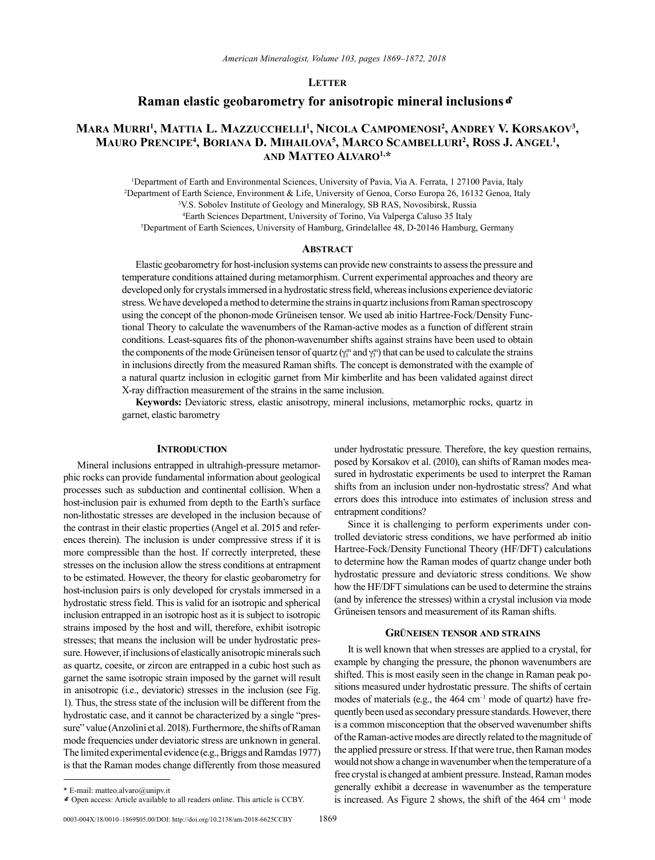### **Letter**

# **Raman elastic geobarometry for anisotropic mineral inclusions**k

# Mara Murri<sup>i</sup>, Mattia L. Mazzucchelli<sup>i</sup>, Nicola Campomenosi<sup>2</sup>, Andrey V. Korsakov<sup>3</sup>, **Mauro Prencipe4 , Boriana D. Mihailova5 , Marco Scambelluri2 , Ross J. Angel1 , and Matteo Alvaro1,\***

 Department of Earth and Environmental Sciences, University of Pavia, Via A. Ferrata, 1 27100 Pavia, Italy Department of Earth Science, Environment & Life, University of Genoa, Corso Europa 26, 16132 Genoa, Italy V.S. Sobolev Institute of Geology and Mineralogy, SB RAS, Novosibirsk, Russia Earth Sciences Department, University of Torino, Via Valperga Caluso 35 Italy Department of Earth Sciences, University of Hamburg, Grindelallee 48, D-20146 Hamburg, Germany

# **Abstract**

Elastic geobarometry for host-inclusion systems can provide new constraints to assess the pressure and temperature conditions attained during metamorphism. Current experimental approaches and theory are developed only for crystals immersed in a hydrostatic stress field, whereas inclusions experience deviatoric stress. We have developed a method to determine the strains in quartz inclusions from Raman spectroscopy using the concept of the phonon-mode Grüneisen tensor. We used ab initio Hartree-Fock/Density Functional Theory to calculate the wavenumbers of the Raman-active modes as a function of different strain conditions. Least-squares fits of the phonon-wavenumber shifts against strains have been used to obtain the components of the mode Grüneisen tensor of quartz  $(\gamma_1^m$  and  $\gamma_3^m)$  that can be used to calculate the strains in inclusions directly from the measured Raman shifts. The concept is demonstrated with the example of a natural quartz inclusion in eclogitic garnet from Mir kimberlite and has been validated against direct X-ray diffraction measurement of the strains in the same inclusion.

**Keywords:** Deviatoric stress, elastic anisotropy, mineral inclusions, metamorphic rocks, quartz in garnet, elastic barometry

# **INTRODUCTION**

Mineral inclusions entrapped in ultrahigh-pressure metamorphic rocks can provide fundamental information about geological processes such as subduction and continental collision. When a host-inclusion pair is exhumed from depth to the Earth's surface non-lithostatic stresses are developed in the inclusion because of the contrast in their elastic properties (Angel et al. 2015 and references therein). The inclusion is under compressive stress if it is more compressible than the host. If correctly interpreted, these stresses on the inclusion allow the stress conditions at entrapment to be estimated. However, the theory for elastic geobarometry for host-inclusion pairs is only developed for crystals immersed in a hydrostatic stress field. This is valid for an isotropic and spherical inclusion entrapped in an isotropic host as it is subject to isotropic strains imposed by the host and will, therefore, exhibit isotropic stresses; that means the inclusion will be under hydrostatic pressure. However, if inclusions of elastically anisotropic minerals such as quartz, coesite, or zircon are entrapped in a cubic host such as garnet the same isotropic strain imposed by the garnet will result in anisotropic (i.e., deviatoric) stresses in the inclusion (see Fig. 1). Thus, the stress state of the inclusion will be different from the hydrostatic case, and it cannot be characterized by a single "pressure" value (Anzolini et al. 2018). Furthermore, the shifts of Raman mode frequencies under deviatoric stress are unknown in general. The limited experimental evidence (e.g., Briggs and Ramdas 1977) is that the Raman modes change differently from those measured

0003-004X/18/0010-1869\$05.00/DOI: http://doi.org/10.2138/am-2018-6625CCBY 1869

under hydrostatic pressure. Therefore, the key question remains, posed by Korsakov et al. (2010), can shifts of Raman modes measured in hydrostatic experiments be used to interpret the Raman shifts from an inclusion under non-hydrostatic stress? And what errors does this introduce into estimates of inclusion stress and entrapment conditions?

Since it is challenging to perform experiments under controlled deviatoric stress conditions, we have performed ab initio Hartree-Fock/Density Functional Theory (HF/DFT) calculations to determine how the Raman modes of quartz change under both hydrostatic pressure and deviatoric stress conditions. We show how the HF/DFT simulations can be used to determine the strains (and by inference the stresses) within a crystal inclusion via mode Grüneisen tensors and measurement of its Raman shifts.

# **Grüneisen tensor and strains**

It is well known that when stresses are applied to a crystal, for example by changing the pressure, the phonon wavenumbers are shifted. This is most easily seen in the change in Raman peak positions measured under hydrostatic pressure. The shifts of certain modes of materials (e.g., the  $464 \text{ cm}^{-1}$  mode of quartz) have frequently been used as secondary pressure standards. However, there is a common misconception that the observed wavenumber shifts of the Raman-active modes are directly related to the magnitude of the applied pressure or stress. If that were true, then Raman modes would not show a change in wavenumber when the temperature of a free crystal is changed at ambient pressure. Instead, Raman modes generally exhibit a decrease in wavenumber as the temperature is increased. As Figure 2 shows, the shift of the  $464 \text{ cm}^{-1}$  mode

<sup>\*</sup> E-mail: matteo.alvaro@unipv.it

**f** Open access: Article available to all readers online. This article is CCBY.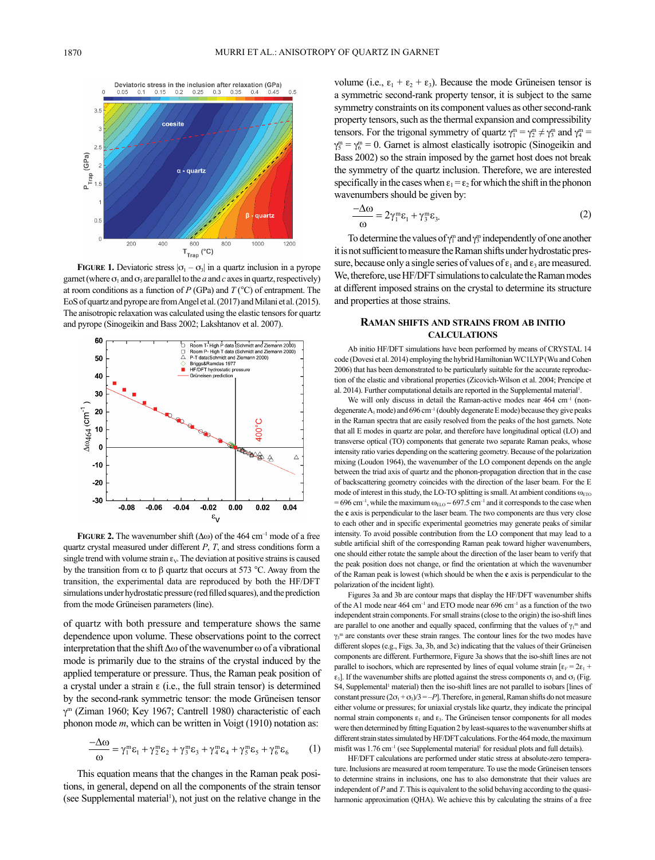

**FIGURE 1.** Deviatoric stress  $|\sigma_1 - \sigma_3|$  in a quartz inclusion in a pyrope garnet (where  $\sigma_1$  and  $\sigma_3$  are parallel to the *a* and *c* axes in quartz, respectively) at room conditions as a function of *P* (GPa) and *T* (°C) of entrapment. The EoS of quartz and pyrope are from Angel et al. (2017) and Milani et al. (2015). The anisotropic relaxation was calculated using the elastic tensors for quartz and pyrope (Sinogeikin and Bass 2002; Lakshtanov et al. 2007).



**FIGURE 2.** The wavenumber shift  $(\Delta \omega)$  of the 464 cm<sup>-1</sup> mode of a free quartz crystal measured under different *P*, *T*, and stress conditions form a single trend with volume strain  $\varepsilon_V$ . The deviation at positive strains is caused by the transition from  $\alpha$  to  $\beta$  quartz that occurs at 573 °C. Away from the transition, the experimental data are reproduced by both the HF/DFT simulations under hydrostatic pressure (red filled squares), and the prediction from the mode Grüneisen parameters (line).

of quartz with both pressure and temperature shows the same dependence upon volume. These observations point to the correct interpretation that the shift  $\Delta\omega$  of the wavenumber  $\omega$  of a vibrational mode is primarily due to the strains of the crystal induced by the applied temperature or pressure. Thus, the Raman peak position of a crystal under a strain  $\varepsilon$  (i.e., the full strain tensor) is determined by the second-rank symmetric tensor: the mode Grüneisen tensor gm (Ziman 1960; Key 1967; Cantrell 1980) characteristic of each phonon mode *m*, which can be written in Voigt (1910) notation as:

$$
\frac{-\Delta\omega}{\omega} = \gamma_1^m \varepsilon_1 + \gamma_2^m \varepsilon_2 + \gamma_3^m \varepsilon_3 + \gamma_4^m \varepsilon_4 + \gamma_5^m \varepsilon_5 + \gamma_6^m \varepsilon_6 \tag{1}
$$

This equation means that the changes in the Raman peak positions, in general, depend on all the components of the strain tensor (see Supplemental material<sup>1</sup>), not just on the relative change in the volume (i.e.,  $\varepsilon_1 + \varepsilon_2 + \varepsilon_3$ ). Because the mode Grüneisen tensor is a symmetric second-rank property tensor, it is subject to the same symmetry constraints on its component values as other second-rank property tensors, such as the thermal expansion and compressibility tensors. For the trigonal symmetry of quartz  $\gamma_1^m = \gamma_2^m \neq \gamma_3^m$  and  $\gamma_4^m =$  $\gamma_5^{\rm m} = \gamma_6^{\rm m} = 0$ . Garnet is almost elastically isotropic (Sinogeikin and Bass 2002) so the strain imposed by the garnet host does not break the symmetry of the quartz inclusion. Therefore, we are interested specifically in the cases when  $\varepsilon_1 = \varepsilon_2$  for which the shift in the phonon wavenumbers should be given by:

$$
\frac{-\Delta\omega}{\omega} = 2\gamma_1^m \varepsilon_1 + \gamma_3^m \varepsilon_3. \tag{2}
$$

To determine the values of  $\gamma_1^m$  and  $\gamma_3^m$  independently of one another it is not sufficient to measure the Raman shifts under hydrostatic pressure, because only a single series of values of  $\varepsilon_1$  and  $\varepsilon_3$  are measured. We, therefore, use HF/DFT simulations to calculate the Raman modes at different imposed strains on the crystal to determine its structure and properties at those strains.

# **Raman shifts and strains from ab initio calculations**

Ab initio HF/DFT simulations have been performed by means of CRYSTAL 14 code (Dovesi et al. 2014) employing the hybrid Hamiltonian WC1LYP (Wu and Cohen 2006) that has been demonstrated to be particularly suitable for the accurate reproduction of the elastic and vibrational properties (Zicovich-Wilson et al. 2004; Prencipe et al. 2014). Further computational details are reported in the Supplemental material<sup>1</sup>.

We will only discuss in detail the Raman-active modes near 464 cm<sup>-1</sup> (nondegenerate  $A_1$  mode) and 696 cm<sup>-1</sup> (doubly degenerate E mode) because they give peaks in the Raman spectra that are easily resolved from the peaks of the host garnets. Note that all E modes in quartz are polar, and therefore have longitudinal optical (LO) and transverse optical (TO) components that generate two separate Raman peaks, whose intensity ratio varies depending on the scattering geometry. Because of the polarization mixing (Loudon 1964), the wavenumber of the LO component depends on the angle between the triad axis of quartz and the phonon-propagation direction that in the case of backscattering geometry coincides with the direction of the laser beam. For the E mode of interest in this study, the LO-TO splitting is small. At ambient conditions  $\omega_{ETO}$ = 696 cm<sup>-1</sup>, while the maximum  $\omega_{ELO}$  ~ 697.5 cm<sup>-1</sup> and it corresponds to the case when the **c** axis is perpendicular to the laser beam. The two components are thus very close to each other and in specific experimental geometries may generate peaks of similar intensity. To avoid possible contribution from the LO component that may lead to a subtle artificial shift of the corresponding Raman peak toward higher wavenumbers, one should either rotate the sample about the direction of the laser beam to verify that the peak position does not change, or find the orientation at which the wavenumber of the Raman peak is lowest (which should be when the **c** axis is perpendicular to the polarization of the incident light).

Figures 3a and 3b are contour maps that display the HF/DFT wavenumber shifts of the A1 mode near 464 cm–1 and ETO mode near 696 cm–1 as a function of the two independent strain components. For small strains (close to the origin) the iso-shift lines are parallel to one another and equally spaced, confirming that the values of  $\gamma_1^m$  and  $\gamma_3^m$  are constants over these strain ranges. The contour lines for the two modes have different slopes (e.g., Figs. 3a, 3b, and 3c) indicating that the values of their Grüneisen components are different. Furthermore, Figure 3a shows that the iso-shift lines are not parallel to isochors, which are represented by lines of equal volume strain  $[\epsilon_V = 2\epsilon_1 +$  $\varepsilon_3$ ]. If the wavenumber shifts are plotted against the stress components  $\sigma_1$  and  $\sigma_3$  (Fig. S4, Supplemental<sup>1</sup> material) then the iso-shift lines are not parallel to isobars [lines of constant pressure  $(2\sigma_1 + \sigma_3)/3 = -P$ . Therefore, in general, Raman shifts do not measure either volume or pressures; for uniaxial crystals like quartz, they indicate the principal normal strain components  $\varepsilon_1$  and  $\varepsilon_3$ . The Grüneisen tensor components for all modes were then determined by fitting Equation 2 by least-squares to the wavenumber shifts at different strain states simulated by HF/DFT calculations. For the 464 mode, the maximum misfit was 1.76 cm<sup>-1</sup> (see Supplemental material<sup>1</sup> for residual plots and full details).

HF/DFT calculations are performed under static stress at absolute-zero temperature. Inclusions are measured at room temperature. To use the mode Grüneisen tensors to determine strains in inclusions, one has to also demonstrate that their values are independent of *P* and *T*. This is equivalent to the solid behaving according to the quasiharmonic approximation (QHA). We achieve this by calculating the strains of a free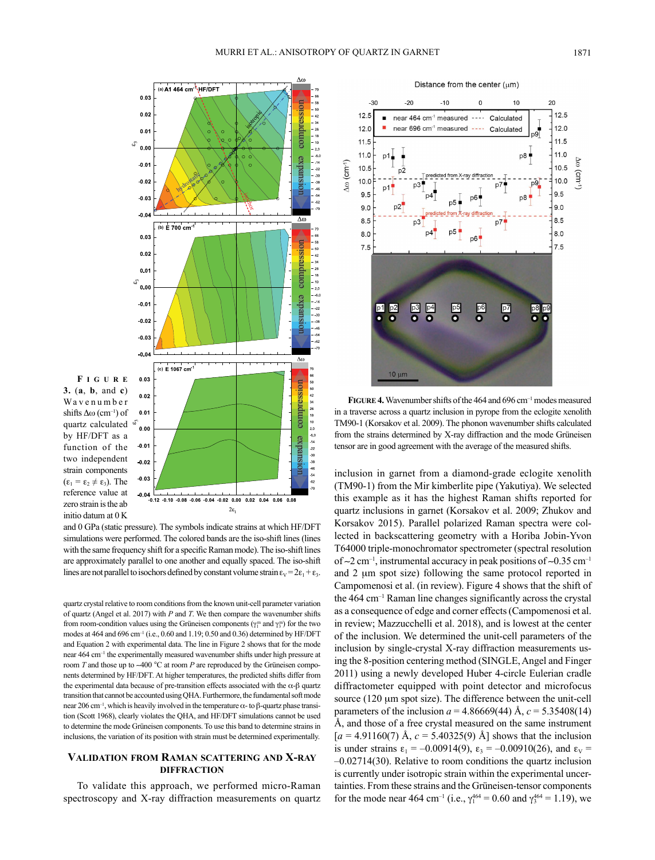

quartz calculated by HF/DFT as a function of the two independent strain components  $(\varepsilon_1 = \varepsilon_2 \neq \varepsilon_3)$ . The reference value at zero strain is the ab initio datum at 0 K

and 0 GPa (static pressure). The symbols indicate strains at which HF/DFT simulations were performed. The colored bands are the iso-shift lines (lines with the same frequency shift for a specific Raman mode). The iso-shift lines are approximately parallel to one another and equally spaced. The iso-shift lines are not parallel to isochors defined by constant volume strain  $\epsilon_V = 2\epsilon_1 + \epsilon_3$ .

quartz crystal relative to room conditions from the known unit-cell parameter variation of quartz (Angel et al. 2017) with *P* and *T*. We then compare the wavenumber shifts from room-condition values using the Grüneisen components ( $\gamma_1^{\text{m}}$  and  $\gamma_3^{\text{m}}$ ) for the two modes at 464 and 696 cm<sup>-1</sup> (i.e., 0.60 and 1.19; 0.50 and 0.36) determined by HF/DFT and Equation 2 with experimental data. The line in Figure 2 shows that for the mode near 464 cm–1 the experimentally measured wavenumber shifts under high pressure at room *T* and those up to  $\sim$ 400 °C at room *P* are reproduced by the Grüneisen components determined by HF/DFT. At higher temperatures, the predicted shifts differ from the experimental data because of pre-transition effects associated with the  $\alpha$ - $\beta$  quartz transition that cannot be accounted using QHA. Furthermore, the fundamental soft mode near 206 cm<sup>-1</sup>, which is heavily involved in the temperature  $\alpha$ - to  $\beta$ -quartz phase transition (Scott 1968), clearly violates the QHA, and HF/DFT simulations cannot be used to determine the mode Grüneisen components. To use this band to determine strains in inclusions, the variation of its position with strain must be determined experimentally.

# **Validation from Raman scattering and X‑ray diffraction**

To validate this approach, we performed micro-Raman spectroscopy and X-ray diffraction measurements on quartz



**Figure 4.** Wavenumber shifts of the 464 and 696 cm–1 modes measured in a traverse across a quartz inclusion in pyrope from the eclogite xenolith TM90-1 (Korsakov et al. 2009). The phonon wavenumber shifts calculated from the strains determined by X-ray diffraction and the mode Grüneisen tensor are in good agreement with the average of the measured shifts.

inclusion in garnet from a diamond-grade eclogite xenolith (TM90-1) from the Mir kimberlite pipe (Yakutiya). We selected this example as it has the highest Raman shifts reported for quartz inclusions in garnet (Korsakov et al. 2009; Zhukov and Korsakov 2015). Parallel polarized Raman spectra were collected in backscattering geometry with a Horiba Jobin-Yvon T64000 triple-monochromator spectrometer (spectral resolution of  $\sim$ 2 cm<sup>-1</sup>, instrumental accuracy in peak positions of  $\sim$ 0.35 cm<sup>-1</sup> and 2 um spot size) following the same protocol reported in Campomenosi et al. (in review). Figure 4 shows that the shift of the 464 cm–1 Raman line changes significantly across the crystal as a consequence of edge and corner effects (Campomenosi et al. in review; Mazzucchelli et al. 2018), and is lowest at the center of the inclusion. We determined the unit-cell parameters of the inclusion by single-crystal X-ray diffraction measurements using the 8-position centering method (SINGLE, Angel and Finger 2011) using a newly developed Huber 4-circle Eulerian cradle diffractometer equipped with point detector and microfocus source (120 µm spot size). The difference between the unit-cell parameters of the inclusion  $a = 4.86669(44)$  Å,  $c = 5.35408(14)$ Å, and those of a free crystal measured on the same instrument  $[a = 4.91160(7)$  Å,  $c = 5.40325(9)$  Å] shows that the inclusion is under strains  $\varepsilon_1 = -0.00914(9)$ ,  $\varepsilon_3 = -0.00910(26)$ , and  $\varepsilon_V =$ –0.02714(30). Relative to room conditions the quartz inclusion is currently under isotropic strain within the experimental uncertainties. From these strains and the Grüneisen-tensor components for the mode near 464 cm<sup>-1</sup> (i.e.,  $\gamma_1^{464} = 0.60$  and  $\gamma_3^{464} = 1.19$ ), we